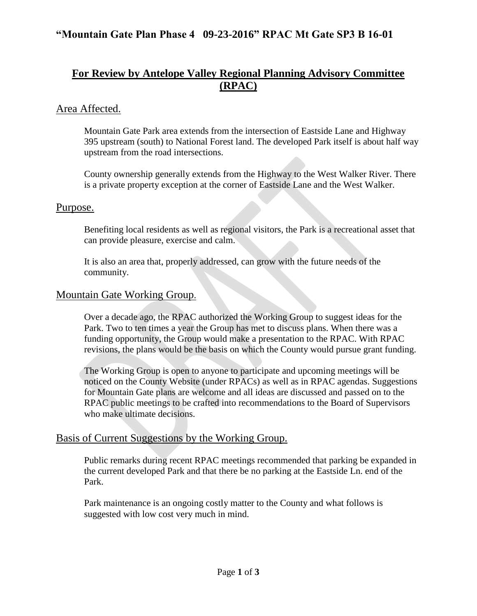# **For Review by Antelope Valley Regional Planning Advisory Committee (RPAC)**

### Area Affected.

Mountain Gate Park area extends from the intersection of Eastside Lane and Highway 395 upstream (south) to National Forest land. The developed Park itself is about half way upstream from the road intersections.

County ownership generally extends from the Highway to the West Walker River. There is a private property exception at the corner of Eastside Lane and the West Walker.

#### Purpose.

Benefiting local residents as well as regional visitors, the Park is a recreational asset that can provide pleasure, exercise and calm.

It is also an area that, properly addressed, can grow with the future needs of the community.

### Mountain Gate Working Group.

Over a decade ago, the RPAC authorized the Working Group to suggest ideas for the Park. Two to ten times a year the Group has met to discuss plans. When there was a funding opportunity, the Group would make a presentation to the RPAC. With RPAC revisions, the plans would be the basis on which the County would pursue grant funding.

The Working Group is open to anyone to participate and upcoming meetings will be noticed on the County Website (under RPACs) as well as in RPAC agendas. Suggestions for Mountain Gate plans are welcome and all ideas are discussed and passed on to the RPAC public meetings to be crafted into recommendations to the Board of Supervisors who make ultimate decisions.

### Basis of Current Suggestions by the Working Group.

Public remarks during recent RPAC meetings recommended that parking be expanded in the current developed Park and that there be no parking at the Eastside Ln. end of the Park.

Park maintenance is an ongoing costly matter to the County and what follows is suggested with low cost very much in mind.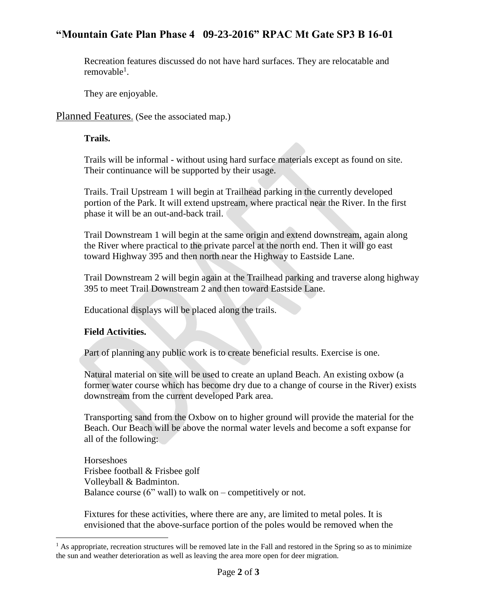### **"Mountain Gate Plan Phase 4 09-23-2016" RPAC Mt Gate SP3 B 16-01**

Recreation features discussed do not have hard surfaces. They are relocatable and removable $^1$ .

They are enjoyable.

Planned Features. (See the associated map.)

#### **Trails.**

Trails will be informal - without using hard surface materials except as found on site. Their continuance will be supported by their usage.

Trails. Trail Upstream 1 will begin at Trailhead parking in the currently developed portion of the Park. It will extend upstream, where practical near the River. In the first phase it will be an out-and-back trail.

Trail Downstream 1 will begin at the same origin and extend downstream, again along the River where practical to the private parcel at the north end. Then it will go east toward Highway 395 and then north near the Highway to Eastside Lane.

Trail Downstream 2 will begin again at the Trailhead parking and traverse along highway 395 to meet Trail Downstream 2 and then toward Eastside Lane.

Educational displays will be placed along the trails.

#### **Field Activities.**

 $\overline{a}$ 

Part of planning any public work is to create beneficial results. Exercise is one.

Natural material on site will be used to create an upland Beach. An existing oxbow (a former water course which has become dry due to a change of course in the River) exists downstream from the current developed Park area.

Transporting sand from the Oxbow on to higher ground will provide the material for the Beach. Our Beach will be above the normal water levels and become a soft expanse for all of the following:

Horseshoes Frisbee football & Frisbee golf Volleyball & Badminton. Balance course  $(6"$  wall) to walk on – competitively or not.

Fixtures for these activities, where there are any, are limited to metal poles. It is envisioned that the above-surface portion of the poles would be removed when the

<sup>&</sup>lt;sup>1</sup> As appropriate, recreation structures will be removed late in the Fall and restored in the Spring so as to minimize the sun and weather deterioration as well as leaving the area more open for deer migration.